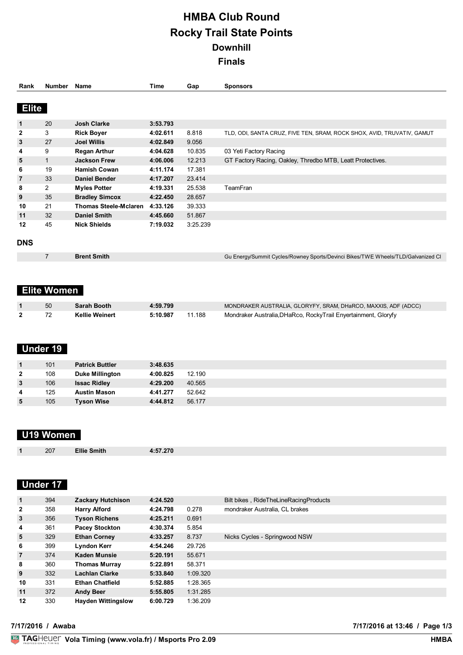# **HMBA Club Round Rocky Trail State Points Downhill Finals**

| Rank           | <b>Number</b>  | <b>Name</b>                  | Time     | Gap      | <b>Sponsors</b>                                                                  |
|----------------|----------------|------------------------------|----------|----------|----------------------------------------------------------------------------------|
| <b>Elite</b>   |                |                              |          |          |                                                                                  |
| $\mathbf{1}$   | 20             | <b>Josh Clarke</b>           | 3:53.793 |          |                                                                                  |
| $\mathbf{2}$   | 3              | <b>Rick Boyer</b>            | 4:02.611 | 8.818    | TLD, ODI, SANTA CRUZ, FIVE TEN, SRAM, ROCK SHOX, AVID, TRUVATIV, GAMUT           |
| 3              | 27             | <b>Joel Willis</b>           | 4:02.849 | 9.056    |                                                                                  |
| 4              | 9              | <b>Regan Arthur</b>          | 4:04.628 | 10.835   | 03 Yeti Factory Racing                                                           |
| 5              | $\mathbf 1$    | <b>Jackson Frew</b>          | 4:06.006 | 12.213   | GT Factory Racing, Oakley, Thredbo MTB, Leatt Protectives.                       |
| 6              | 19             | <b>Hamish Cowan</b>          | 4:11.174 | 17.381   |                                                                                  |
| $\overline{7}$ | 33             | <b>Daniel Bender</b>         | 4:17.207 | 23.414   |                                                                                  |
| 8              | $\overline{2}$ | <b>Myles Potter</b>          | 4:19.331 | 25.538   | TeamFran                                                                         |
| 9              | 35             | <b>Bradley Simcox</b>        | 4:22.450 | 28.657   |                                                                                  |
| 10             | 21             | <b>Thomas Steele-Mclaren</b> | 4:33.126 | 39.333   |                                                                                  |
| 11             | 32             | <b>Daniel Smith</b>          | 4:45.660 | 51.867   |                                                                                  |
| 12             | 45             | <b>Nick Shields</b>          | 7:19.032 | 3:25.239 |                                                                                  |
| <b>DNS</b>     |                |                              |          |          |                                                                                  |
|                | $\overline{7}$ | <b>Brent Smith</b>           |          |          | Gu Energy/Summit Cycles/Rowney Sports/Devinci Bikes/TWE Wheels/TLD/Galvanized Cl |
|                |                |                              |          |          |                                                                                  |

# **Elite Women**

| 50 | Sarah Booth           | 4:59.799 |        | MONDRAKER AUSTRALIA, GLORYFY, SRAM, DHaRCO, MAXXIS, ADF (ADCC) |
|----|-----------------------|----------|--------|----------------------------------------------------------------|
|    | <b>Kellie Weinert</b> | 5:10.987 | 11.188 | Mondraker Australia, DHaRco, RockyTrail Enyertainment, Gloryfy |

## **Under 19**

|              | 101 | <b>Patrick Buttler</b> | 3:48.635 |        |
|--------------|-----|------------------------|----------|--------|
| $\mathbf{2}$ | 108 | <b>Duke Millington</b> | 4:00.825 | 12.190 |
| 3            | 106 | <b>Issac Ridley</b>    | 4:29.200 | 40.565 |
| 4            | 125 | <b>Austin Mason</b>    | 4:41.277 | 52.642 |
| 5            | 105 | <b>Tyson Wise</b>      | 4:44.812 | 56.177 |

# **U19 Women**

### **Under 17**

| $\mathbf{1}$   | 394 | <b>Zackary Hutchison</b>  | 4:24.520 |          | Bilt bikes, RideTheLineRacingProducts |
|----------------|-----|---------------------------|----------|----------|---------------------------------------|
| $\mathbf{2}$   | 358 | <b>Harry Alford</b>       | 4:24.798 | 0.278    | mondraker Australia, CL brakes        |
| $\mathbf{3}$   | 356 | <b>Tyson Richens</b>      | 4:25.211 | 0.691    |                                       |
| 4              | 361 | <b>Pacey Stockton</b>     | 4:30.374 | 5.854    |                                       |
| 5              | 329 | <b>Ethan Corney</b>       | 4:33.257 | 8.737    | Nicks Cycles - Springwood NSW         |
| 6              | 399 | <b>Lyndon Kerr</b>        | 4:54.246 | 29.726   |                                       |
| $\overline{7}$ | 374 | Kaden Munsie              | 5:20.191 | 55.671   |                                       |
| 8              | 360 | <b>Thomas Murray</b>      | 5:22.891 | 58.371   |                                       |
| 9              | 332 | <b>Lachlan Clarke</b>     | 5:33.840 | 1:09.320 |                                       |
| 10             | 331 | <b>Ethan Chatfield</b>    | 5:52.885 | 1:28.365 |                                       |
| 11             | 372 | <b>Andy Beer</b>          | 5:55.805 | 1:31.285 |                                       |
| 12             | 330 | <b>Hayden Wittingslow</b> | 6:00.729 | 1:36.209 |                                       |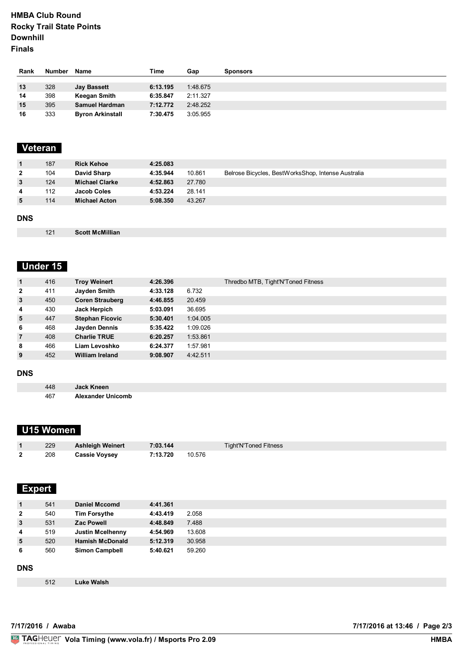#### **HMBA Club Round Rocky Trail State Points Downhill Finals**

| Rank | Number | Name                    | Time     | Gap      | <b>Sponsors</b> |
|------|--------|-------------------------|----------|----------|-----------------|
|      |        |                         |          |          |                 |
| 13   | 328    | <b>Jay Bassett</b>      | 6:13.195 | 1:48.675 |                 |
| 14   | 398    | Keegan Smith            | 6:35.847 | 2:11.327 |                 |
| 15   | 395    | Samuel Hardman          | 7:12.772 | 2:48.252 |                 |
| 16   | 333    | <b>Byron Arkinstall</b> | 7:30.475 | 3:05.955 |                 |

## **Veteran**

| $\blacksquare$ | 187 | <b>Rick Kehoe</b>     | 4:25.083 |        |                                                    |
|----------------|-----|-----------------------|----------|--------|----------------------------------------------------|
| $\mathbf{2}$   | 104 | David Sharp           | 4:35.944 | 10.861 | Belrose Bicycles, BestWorksShop, Intense Australia |
| $\mathbf{3}$   | 124 | <b>Michael Clarke</b> | 4:52.863 | 27.780 |                                                    |
| 4              | 112 | Jacob Coles           | 4:53.224 | 28.141 |                                                    |
| 5              | 114 | <b>Michael Acton</b>  | 5:08.350 | 43.267 |                                                    |
|                |     |                       |          |        |                                                    |

#### **DNS**

**Scott McMillian**

# **Under 15**

| $\mathbf{1}$   | 416 | <b>Troy Weinert</b>    | 4:26.396 |          | Thredbo MTB, Tight'N'Toned Fitness |
|----------------|-----|------------------------|----------|----------|------------------------------------|
| $\overline{2}$ | 411 | Jayden Smith           | 4:33.128 | 6.732    |                                    |
| $\mathbf{3}$   | 450 | <b>Coren Strauberg</b> | 4:46.855 | 20.459   |                                    |
| $\overline{4}$ | 430 | Jack Herpich           | 5:03.091 | 36.695   |                                    |
| 5              | 447 | <b>Stephan Ficovic</b> | 5:30.401 | 1:04.005 |                                    |
| 6              | 468 | Jayden Dennis          | 5:35.422 | 1:09.026 |                                    |
| $\overline{7}$ | 408 | <b>Charlie TRUE</b>    | 6:20.257 | 1:53.861 |                                    |
| 8              | 466 | Liam Levoshko          | 6:24.377 | 1:57.981 |                                    |
| 9              | 452 | <b>William Ireland</b> | 9:08.907 | 4:42.511 |                                    |
|                |     |                        |          |          |                                    |

#### **DNS**

| 448 | Jack Kneen               |
|-----|--------------------------|
| 467 | <b>Alexander Unicomb</b> |

### **U15 Women**

| 229 | <b>Ashleigh Weinert</b> | 7:03.144 |        | Tight'N'Toned Fitness |
|-----|-------------------------|----------|--------|-----------------------|
| 208 | <b>Cassie Voysey</b>    | 7:13.720 | 10.576 |                       |

#### **Expert**

| $\mathbf{1}$   | 541 | <b>Daniel Mccomd</b>    | 4:41.361 |        |
|----------------|-----|-------------------------|----------|--------|
| $\overline{2}$ | 540 | <b>Tim Forsythe</b>     | 4:43.419 | 2.058  |
| 3              | 531 | <b>Zac Powell</b>       | 4:48.849 | 7.488  |
| 4              | 519 | <b>Justin Mcelhenny</b> | 4:54.969 | 13.608 |
| 5              | 520 | <b>Hamish McDonald</b>  | 5:12.319 | 30.958 |
| 6              | 560 | <b>Simon Campbell</b>   | 5:40.621 | 59.260 |
|                |     |                         |          |        |
| <b>DNC</b>     |     |                         |          |        |

#### **DNS**

**Luke Walsh**

**VolaSoftControlPdf 7/17/2016 / Awaba 7/17/2016 at 13:46 / Page 2/3**